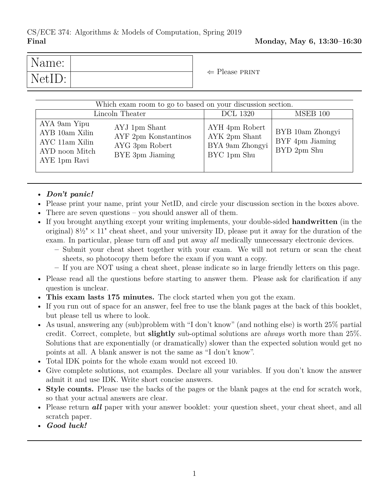| Name:  |  | $\Leftarrow$ Please PRINT |
|--------|--|---------------------------|
| NetID: |  |                           |

| Which exam room to go to based on your discussion section.<br>MSEB 100<br>Lincoln Theater<br><b>DCL 1320</b>                                                     |                                                                   |                                                    |  |  |
|------------------------------------------------------------------------------------------------------------------------------------------------------------------|-------------------------------------------------------------------|----------------------------------------------------|--|--|
| AYA 9am Yipu<br>AYJ 1pm Shant<br>AYB 10am Xilin<br>AYF 2pm Konstantinos<br>AYC 11am Xilin<br>AYG 3pm Robert<br>AYD noon Mitch<br>BYE 3pm Jiaming<br>AYE 1pm Ravi | AYH 4pm Robert<br>AYK 2pm Shant<br>BYA 9am Zhongyi<br>BYC 1pm Shu | BYB 10am Zhongyi<br>BYF 4pm Jiaming<br>BYD 2pm Shu |  |  |

## • *Don't panic!*

- Please print your name, print your NetID, and circle your discussion section in the boxes above.
- There are seven questions you should answer all of them.
- If you brought anything except your writing implements, your double-sided **handwritten** (in the original)  $8\frac{1}{2} \times 11$ " cheat sheet, and your university ID, please put it away for the duration of the exam. In particular, please turn off and put away *all* medically unnecessary electronic devices.
	- **–** Submit your cheat sheet together with your exam. We will not return or scan the cheat sheets, so photocopy them before the exam if you want a copy.
	- **–** If you are NOT using a cheat sheet, please indicate so in large friendly letters on this page.
- Please read all the questions before starting to answer them. Please ask for clarification if any question is unclear.
- **This exam lasts 175 minutes.** The clock started when you got the exam.
- If you run out of space for an answer, feel free to use the blank pages at the back of this booklet, but please tell us where to look.
- As usual, answering any (sub)problem with "I don't know" (and nothing else) is worth 25% partial credit. Correct, complete, but **slightly** sub-optimal solutions are *always* worth more than 25%. Solutions that are exponentially (or dramatically) slower than the expected solution would get no points at all. A blank answer is not the same as "I don't know".
- Total IDK points for the whole exam would not exceed 10.
- Give complete solutions, not examples. Declare all your variables. If you don't know the answer admit it and use IDK. Write short concise answers.
- **Style counts.** Please use the backs of the pages or the blank pages at the end for scratch work, so that your actual answers are clear.
- Please return **all** paper with your answer booklet: your question sheet, your cheat sheet, and all scratch paper.
- *Good luck!*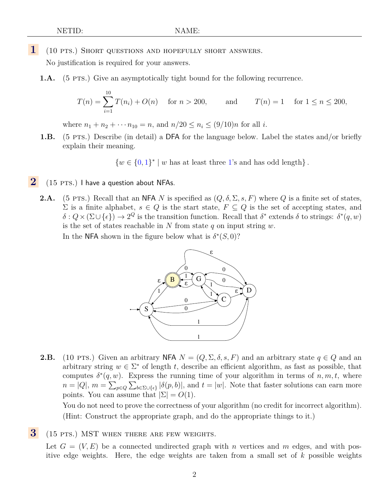**1** (10 pts.) Short questions and hopefully short answers.

No justification is required for your answers.

**1.A.** (5 PTS.) Give an asymptotically tight bound for the following recurrence.

$$
T(n) = \sum_{i=1}^{10} T(n_i) + O(n) \quad \text{for } n > 200, \qquad \text{and} \qquad T(n) = 1 \quad \text{for } 1 \le n \le 200,
$$

where  $n_1 + n_2 + \cdots + n_{10} = n$ , and  $n/20 \le n_i \le (9/10)n$  for all *i*.

**1.B.** (5 PTS.) Describe (in detail) a DFA for the language below. Label the states and/or briefly explain their meaning.

 $\{w \in \{0,1\}^* \mid w$  has at least three 1's and has odd length $\}$ .

- 2 (15 PTS.) I have a question about NFAs.
	- **2.A.** (5 PTS.) Recall that an NFA N is specified as  $(Q, \delta, \Sigma, s, F)$  where Q is a finite set of states,  $\Sigma$  is a finite alphabet,  $s \in Q$  is the start state,  $F \subseteq Q$  is the set of accepting states, and  $\delta: Q \times (\Sigma \cup \{\epsilon\}) \to 2^Q$  is the transition function. Recall that  $\delta^*$  extends  $\delta$  to strings:  $\delta^*(q, w)$ is the set of states reachable in N from state q on input string  $w$ .

In the NFA shown in the figure below what is  $\delta^*(S,0)$ ?



**2.B.** (10 PTS.) Given an arbitrary NFA  $N = (Q, \Sigma, \delta, s, F)$  and an arbitrary state  $q \in Q$  and an arbitrary string  $w \in \Sigma^*$  of length t, describe an efficient algorithm, as fast as possible, that computes  $\delta^*(q, w)$ . Express the running time of your algorithm in terms of  $n, m, t$ , where  $n = |Q|, m = \sum_{p \in Q} \sum_{b \in \Sigma \cup \{e\}} |\delta(p, b)|$ , and  $t = |w|$ . Note that faster solutions can earn more points. You can assume that  $|\Sigma| = O(1)$ .

You do not need to prove the correctness of your algorithm (no credit for incorrect algorithm). (Hint: Construct the appropriate graph, and do the appropriate things to it.)

**3** (15 PTS.) MST WHEN THERE ARE FEW WEIGHTS.

Let  $G = (V, E)$  be a connected undirected graph with n vertices and m edges, and with positive edge weights. Here, the edge weights are taken from a small set of  $k$  possible weights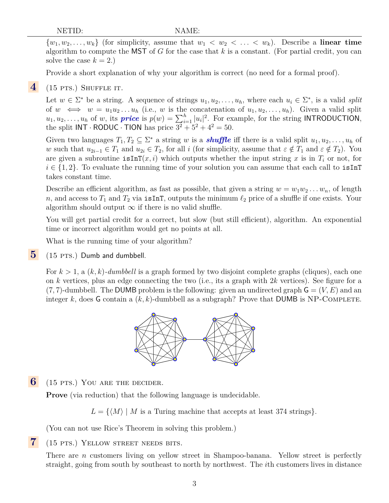$\{w_1, w_2, \ldots, w_k\}$  (for simplicity, assume that  $w_1 < w_2 < \ldots < w_k$ ). Describe a **linear time** algorithm to compute the MST of G for the case that  $k$  is a constant. (For partial credit, you can solve the case  $k = 2$ .)

Provide a short explanation of why your algorithm is correct (no need for a formal proof).

## **4** (15 pts.) Shuffle it.

Let  $w \in \Sigma^*$  be a string. A sequence of strings  $u_1, u_2, \ldots, u_h$ , where each  $u_i \in \Sigma^*$ , is a valid *split* of  $w \iff w = u_1u_2...u_h$  (i.e., w is the concatenation of  $u_1, u_2,..., u_h$ ). Given a valid split  $u_1, u_2, \ldots, u_h$  of w, its **price** is  $p(w) = \sum_{i=1}^h |u_i|^2$ . For example, for the string **INTRODUCTION**, the split  $INT \cdot \text{RODUC} \cdot \text{TION}$  has price  $3^2 + 5^2 + 4^2 = 50$ .

Given two languages  $T_1, T_2 \subseteq \Sigma^*$  a string w is a *shuffle* iff there is a valid split  $u_1, u_2, \ldots, u_h$  of w such that  $u_{2i-1} \in T_1$  and  $u_{2i} \in T_2$ , for all i (for simplicity, assume that  $\varepsilon \notin T_1$  and  $\varepsilon \notin T_2$ ). You are given a subroutine  $\text{isInT}(x, i)$  which outputs whether the input string x is in  $T_i$  or not, for  $i \in \{1,2\}$ . To evaluate the running time of your solution you can assume that each call to isInT takes constant time.

Describe an efficient algorithm, as fast as possible, that given a string  $w = w_1w_2 \ldots w_n$ , of length n, and access to  $T_1$  and  $T_2$  via isInT, outputs the minimum  $\ell_2$  price of a shuffle if one exists. Your algorithm should output  $\infty$  if there is no valid shuffle.

You will get partial credit for a correct, but slow (but still efficient), algorithm. An exponential time or incorrect algorithm would get no points at all.

What is the running time of your algorithm?

**5** (15 PTS.) Dumb and dumbbell.

For  $k > 1$ , a  $(k, k)$ -dumbbell is a graph formed by two disjoint complete graphs (cliques), each one on k vertices, plus an edge connecting the two (i.e., its a graph with  $2k$  vertices). See figure for a  $(7, 7)$ -dumbbell. The DUMB problem is the following: given an undirected graph  $\mathsf{G} = (V, E)$  and an integer k, does G contain a  $(k, k)$ -dumbbell as a subgraph? Prove that DUMB is NP-COMPLETE.



**6** (15 pts.) YOU ARE THE DECIDER.

**Prove** (via reduction) that the following language is undecidable.

 $L = \{ \langle M \rangle | M$  is a Turing machine that accepts at least 374 strings.

(You can not use Rice's Theorem in solving this problem.)

**7** (15 pts.) Yellow street needs bits.

There are *n* customers living on yellow street in Shampoo-banana. Yellow street is perfectly straight, going from south by southeast to north by northwest. The ith customers lives in distance